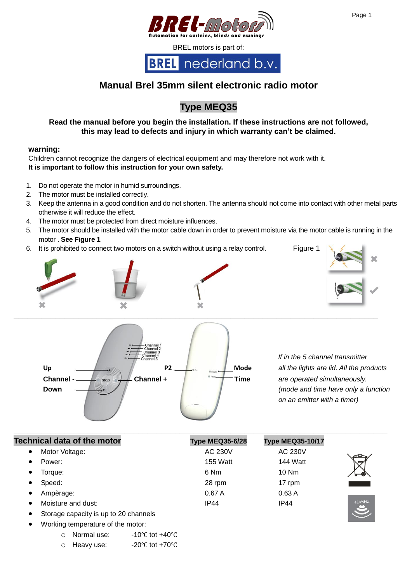

# **Manual Brel 35mm silent electronic radio motor**

# **Type MEQ35**

# **Read the manual before you begin the installation. If these instructions are not followed, this may lead to defects and injury in which warranty can't be claimed.**

### **warning:**

Children cannot recognize the dangers of electrical equipment and may therefore not work with it. **It is important to follow this instruction for your own safety.** 

- 1. Do not operate the motor in humid surroundings.
- 2. The motor must be installed correctly.
- 3. Keep the antenna in a good condition and do not shorten. The antenna should not come into contact with other metal parts otherwise it will reduce the effect.
- 4. The motor must be protected from direct moisture influences.
- 5. The motor should be installed with the motor cable down in order to prevent moisture via the motor cable is running in the motor . **See Figure 1**
- 6. It is prohibited to connect two motors on a switch without using a relay control. Figure 1





 *If in the 5 channel transmitter on an emitter with a timer)*

| <b>Technical data of the motor</b> | <b>Type MEQ35-6/28</b> | <b>Type MEQ35-10/17</b> |                     |
|------------------------------------|------------------------|-------------------------|---------------------|
| Motor Voltage:<br>$\bullet$        | AC 230V                | AC 230V                 | ≃                   |
| Power:<br>$\bullet$                | <b>155 Watt</b>        | 144 Watt                | ☞                   |
| Torque:<br>$\bullet$               | 6 Nm                   | $10$ Nm                 | ⊸                   |
| Speed:<br>$\bullet$                | 28 rpm                 | 17 rpm                  |                     |
| Ampèrage:<br>$\bullet$             | 0.67A                  | 0.63A                   |                     |
| Moisture and dust:                 | <b>IP44</b>            | IP44                    | 433MHz<br>$\bullet$ |

- Storage capacity is up to 20 channels
- Working temperature of the motor:

o Normal use: -10℃ tot +40℃

o Heavy use: -20℃ tot +70℃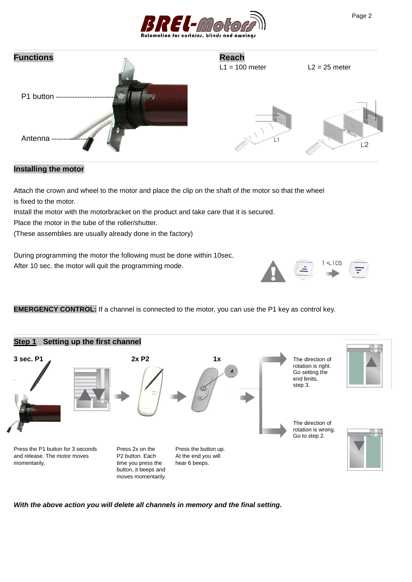

| <b>Functions</b> | <b>Reach</b><br>$L1 = 100$ meter | $L2 = 25$ meter       |
|------------------|----------------------------------|-----------------------|
| P1 button -      |                                  |                       |
| Antenna          |                                  | 20Cn<br>$\mathcal{D}$ |

### **Installing the motor**

Attach the crown and wheel to the motor and place the clip on the shaft of the motor so that the wheel is fixed to the motor.

Install the motor with the motorbracket on the product and take care that it is secured.

Place the motor in the tube of the roller/shutter.

(These assemblies are usually already done in the factory)

During programming the motor the following must be done within 10sec. After 10 sec. the motor will quit the programming mode.

**EMERGENCY CONTROL:** If a channel is connected to the motor, you can use the P1 key as control key.



*With the above action you will delete all channels in memory and the final setting.*

 $< 10S$ 

Ξ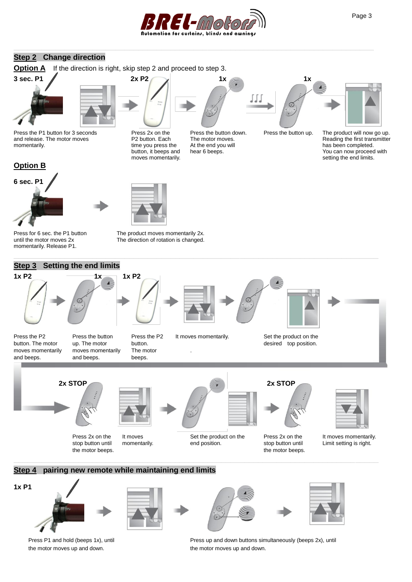

**\_\_\_\_\_\_\_\_\_\_\_\_\_\_\_\_\_\_\_\_\_\_\_\_\_\_\_\_\_\_\_\_\_\_\_\_\_\_\_\_\_\_\_\_\_\_\_\_\_\_\_\_\_\_\_\_\_\_\_\_\_\_\_\_\_\_\_\_\_\_\_\_\_\_\_\_\_\_**

## **Step 2 Change direction**

**Option A** If the direction is right, skip step 2 and proceed to step 3.



Press the P1 button for 3 seconds Press 2x on the Press the button down. Press the button up. The product will now go up.<br>P2 button. Each The motor moves. Reading the first transmitter and release. The motor moves **P2** button. Each The motor moves.<br>
momentarily. Containing transmitter transmitter transmitter transmitter transmitter transmitter transmitter transmitter transmitter transmitter transmitter t









time you press the At the end you will has been completed.<br>
button, it beeps and hear 6 beeps. Now can now proceed



IJ.

![](_page_2_Picture_13.jpeg)

button, it beeps and hear 6 beeps. The same of the setting the end limits was momentarily. setting the end limits.

![](_page_2_Picture_15.jpeg)

until the motor moves 2x The direction of rotation is changed. momentarily. Release P1.

Press for 6 sec. the P1 button The product moves momentarily 2x.

![](_page_2_Figure_18.jpeg)

![](_page_2_Picture_19.jpeg)

![](_page_2_Picture_20.jpeg)

![](_page_2_Picture_22.jpeg)

![](_page_2_Picture_23.jpeg)

![](_page_2_Picture_24.jpeg)

![](_page_2_Picture_25.jpeg)

the motor moves up and down. The motor moves up and down.

Press P1 and hold (beeps 1x), until **Press up and down buttons simultaneously** (beeps 2x), until

![](_page_2_Picture_29.jpeg)